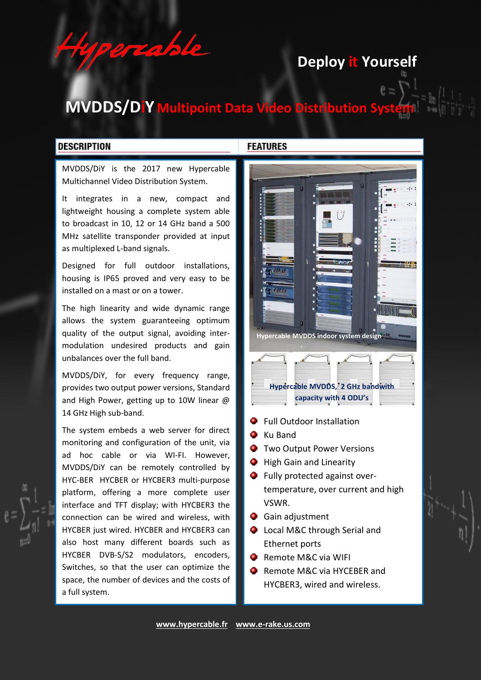**Deploy it Yourself** 

# **MVDDS/DiY** Multipoint Data Video Distribution

### **DESCRIPTION**

MVDDS/DiY is the 2017 new Hypercable Multichannel Video Distribution System.

 $109720$ 

It integrates in a new, compact and lightweight housing a complete system able to broadcast in 10, 12 or 14 GHz band a 500 MHz satellite transponder provided at input as multiplexed L-band signals.

Designed for full outdoor installations, housing is IP65 proved and very easy to be installed on a mast or on a tower.

The high linearity and wide dynamic range allows the system guaranteeing optimum quality of the output signal, avoiding intermodulation undesired products and gain unbalances over the full band.

MVDDS/DiY, for every frequency range, provides two output power versions, Standard and High Power, getting up to 10W linear @ 14 GHz High sub-band.

The system embeds a web server for direct monitoring and configuration of the unit, via ad hoc cable or via WI-FI. However, MVDDS/DiY can be remotely controlled by HYC-BER HYCBER or HYCBER3 multi-purpose platform, offering a more complete user interface and TFT display; with HYCBER3 the connection can be wired and wireless, with HYCBER just wired. HYCBER and HYCBER3 can also host many different boards such as HYCBER DVB-S/S2 modulators, encoders, Switches, so that the user can optimize the space, the number of devices and the costs of a full system.

#### **FEATURES**



- Full Outdoor Installation
- **C** Ku Band
- **Two Output Power Versions**
- **O** High Gain and Linearity
- **O** Fully protected against overtemperature, over current and high VSWR.
- **Q** Gain adjustment
- Local M&C through Serial and Ethernet ports
- **•** Remote M&C via WIFI
- Remote M&C via HYCEBER and HYCBER3, wired and wireless.